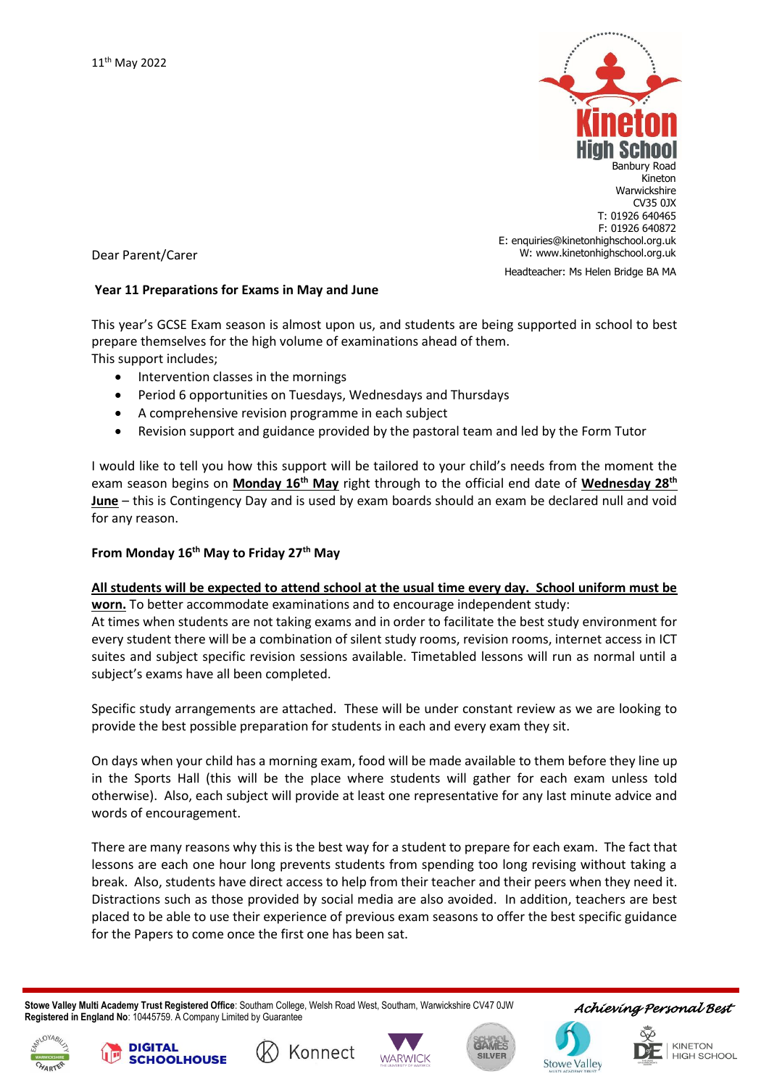

Dear Parent/Carer

## **Year 11 Preparations for Exams in May and June**

This year's GCSE Exam season is almost upon us, and students are being supported in school to best prepare themselves for the high volume of examinations ahead of them. This support includes;

- Intervention classes in the mornings
- Period 6 opportunities on Tuesdays, Wednesdays and Thursdays
- A comprehensive revision programme in each subject
- Revision support and guidance provided by the pastoral team and led by the Form Tutor

I would like to tell you how this support will be tailored to your child's needs from the moment the exam season begins on **Monday 16th May** right through to the official end date of **Wednesday 28th June** – this is Contingency Day and is used by exam boards should an exam be declared null and void for any reason.

## **From Monday 16th May to Friday 27th May**

**All students will be expected to attend school at the usual time every day. School uniform must be worn.** To better accommodate examinations and to encourage independent study:

At times when students are not taking exams and in order to facilitate the best study environment for every student there will be a combination of silent study rooms, revision rooms, internet access in ICT suites and subject specific revision sessions available. Timetabled lessons will run as normal until a subject's exams have all been completed.

Specific study arrangements are attached. These will be under constant review as we are looking to provide the best possible preparation for students in each and every exam they sit.

On days when your child has a morning exam, food will be made available to them before they line up in the Sports Hall (this will be the place where students will gather for each exam unless told otherwise). Also, each subject will provide at least one representative for any last minute advice and words of encouragement.

There are many reasons why this is the best way for a student to prepare for each exam. The fact that lessons are each one hour long prevents students from spending too long revising without taking a break. Also, students have direct access to help from their teacher and their peers when they need it. Distractions such as those provided by social media are also avoided. In addition, teachers are best placed to be able to use their experience of previous exam seasons to offer the best specific guidance for the Papers to come once the first one has been sat.

 **Stowe Valley Multi Academy Trust Registered Office**: Southam College, Welsh Road West, Southam, Warwickshire CV47 0JW **Registered in England No**: 10445759. A Company Limited by Guarantee